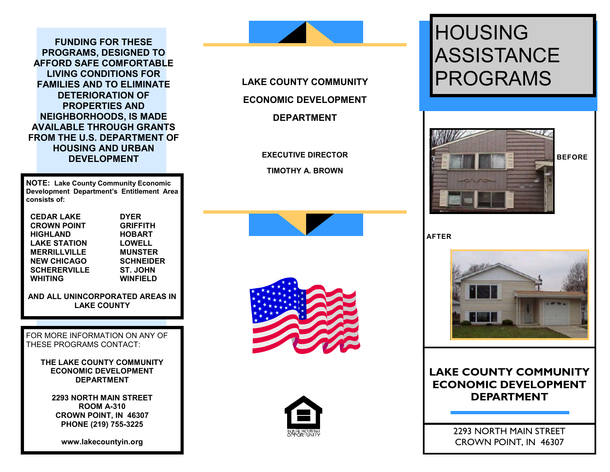**FUNDING FOR THESE PROGRAMS, DESIGNED TO AFFORD SAFE COMFORTABLE LIVING CONDITIONS FOR FAMILIES AND TO ELIMINATE DETERIORATION OF PROPERTIES AND NEIGHBORHOODS, IS MADE AVAILABLE THROUGH GRANTS FROM THE U.S. DEPARTMENT OF HOUSING AND URBAN DEVELOPMENT**

**NOTE: Lake County Community Economic Development Department's Entitlement Area consists of:**

 **CEDAR LAKE DYER CROWN POINT GRIFFITH HIGHLAND HOBART LAKE STATION LOWELL MERRILLVILLE MUNSTER NEW CHICAGO SCHERERVILLE ST. JOHN WHITING WINFIELD**

**AND ALL UNINCORPORATED AREAS IN LAKE COUNTY**

FOR MORE INFORMATION ON ANY OF THESE PROGRAMS CONTACT:

> **THE LAKE COUNTY COMMUNITY ECONOMIC DEVELOPMENT DEPARTMENT**

**2293 NORTH MAIN STREET ROOM A-310 CROWN POINT, IN 46307 PHONE (219) 755-3225**

**www.lakecountyin.org**



**EXECUTIVE DIRECTOR TIMOTHY A. BROWN** 







# **HOUSING ASSISTANCE** PROGRAMS



**AFTER**



# **LAKE COUNTY COMMUNITY ECONOMIC DEVELOPMENT DEPARTMENT**

2293 NORTH MAIN STREET CROWN POINT, IN 46307